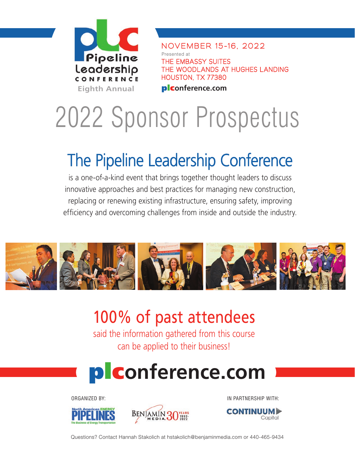

NOVEMBER 15-16, 2022 Presented at THE EMBASSY SUITES THE WOODLANDS AT HUGHES LANDING HOUSTON, TX 77380

# 2022 Sponsor Prospectus

## The Pipeline Leadership Conference

is a one-of-a-kind event that brings together thought leaders to discuss innovative approaches and best practices for managing new construction, replacing or renewing existing infrastructure, ensuring safety, improving efficiency and overcoming challenges from inside and outside the industry.



### 100% of past attendees

said the information gathered from this course can be applied to their business!

## plc**onference.com**





ORGANIZED BY: IN PARTNERSHIP WITH:



Questions? Contact Hannah Stakolich at hstakolich@benjaminmedia.com or 440-465-9434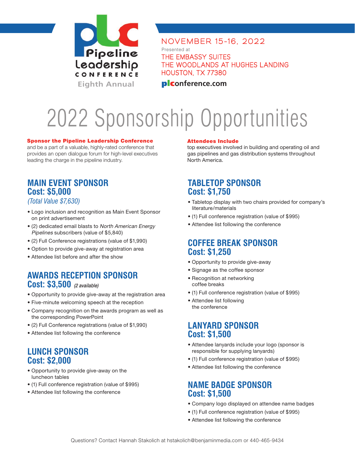

NOVEMBER 15-16, 2022 Presented at THE EMBASSY SUITES THE WOODLANDS AT HUGHES LANDING

HOUSTON, TX 77380

# 2022 Sponsorship Opportunities

#### Sponsor the Pipeline Leadership Conference

and be a part of a valuable, highly-rated conference that provides an open dialogue forum for high-level executives leading the charge in the pipeline industry.

### **MAIN EVENT SPONSOR Cost: \$5,000**

#### *(Total Value \$7,630)*

- Logo inclusion and recognition as Main Event Sponsor on print advertisement
- (2) dedicated email blasts to North American Energy Pipelines subscribers (value of \$5,840)
- (2) Full Conference registrations (value of \$1,990)
- Option to provide give-away at registration area
- Attendee list before and after the show

#### **AWARDS RECEPTION SPONSOR Cost: \$3,500** (2 available)

- Opportunity to provide give-away at the registration area
- Five-minute welcoming speech at the reception
- Company recognition on the awards program as well as the corresponding PowerPoint
- (2) Full Conference registrations (value of \$1,990)
- Attendee list following the conference

### **LUNCH SPONSOR Cost: \$2,000**

- Opportunity to provide give-away on the luncheon tables
- (1) Full conference registration (value of \$995)
- Attendee list following the conference

#### Attendees Include

top executives involved in building and operating oil and gas pipelines and gas distribution systems throughout North America.

### **TABLETOP SPONSOR Cost: \$1,750**

- Tabletop display with two chairs provided for company's literature/materials
- (1) Full conference registration (value of \$995)
- Attendee list following the conference

#### **COFFEE BREAK SPONSOR Cost: \$1,250**

- Opportunity to provide give-away
- Signage as the coffee sponsor
- Recognition at networking coffee breaks
- (1) Full conference registration (value of \$995)
- Attendee list following the conference

### **LANYARD SPONSOR Cost: \$1,500**

- Attendee lanyards include your logo (sponsor is responsible for supplying lanyards)
- (1) Full conference registration (value of \$995)
- Attendee list following the conference

### **NAME BADGE SPONSOR Cost: \$1,500**

- Company logo displayed on attendee name badges
- (1) Full conference registration (value of \$995)
- Attendee list following the conference